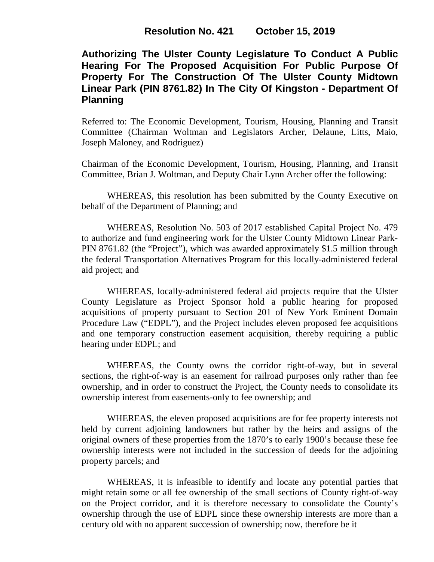**Authorizing The Ulster County Legislature To Conduct A Public Hearing For The Proposed Acquisition For Public Purpose Of Property For The Construction Of The Ulster County Midtown Linear Park (PIN 8761.82) In The City Of Kingston - Department Of Planning**

Referred to: The Economic Development, Tourism, Housing, Planning and Transit Committee (Chairman Woltman and Legislators Archer, Delaune, Litts, Maio, Joseph Maloney, and Rodriguez)

Chairman of the Economic Development, Tourism, Housing, Planning, and Transit Committee, Brian J. Woltman, and Deputy Chair Lynn Archer offer the following:

WHEREAS, this resolution has been submitted by the County Executive on behalf of the Department of Planning; and

WHEREAS, Resolution No. 503 of 2017 established Capital Project No. 479 to authorize and fund engineering work for the Ulster County Midtown Linear Park-PIN 8761.82 (the "Project"), which was awarded approximately \$1.5 million through the federal Transportation Alternatives Program for this locally-administered federal aid project; and

WHEREAS, locally-administered federal aid projects require that the Ulster County Legislature as Project Sponsor hold a public hearing for proposed acquisitions of property pursuant to Section 201 of New York Eminent Domain Procedure Law ("EDPL"), and the Project includes eleven proposed fee acquisitions and one temporary construction easement acquisition, thereby requiring a public hearing under EDPL; and

WHEREAS, the County owns the corridor right-of-way, but in several sections, the right-of-way is an easement for railroad purposes only rather than fee ownership, and in order to construct the Project, the County needs to consolidate its ownership interest from easements-only to fee ownership; and

WHEREAS, the eleven proposed acquisitions are for fee property interests not held by current adjoining landowners but rather by the heirs and assigns of the original owners of these properties from the 1870's to early 1900's because these fee ownership interests were not included in the succession of deeds for the adjoining property parcels; and

WHEREAS, it is infeasible to identify and locate any potential parties that might retain some or all fee ownership of the small sections of County right-of-way on the Project corridor, and it is therefore necessary to consolidate the County's ownership through the use of EDPL since these ownership interests are more than a century old with no apparent succession of ownership; now, therefore be it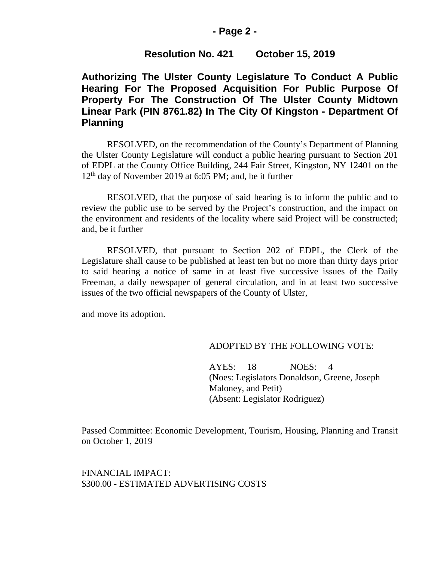## **- Page 2 -**

## **Resolution No. 421 October 15, 2019**

# **Authorizing The Ulster County Legislature To Conduct A Public Hearing For The Proposed Acquisition For Public Purpose Of Property For The Construction Of The Ulster County Midtown Linear Park (PIN 8761.82) In The City Of Kingston - Department Of Planning**

RESOLVED, on the recommendation of the County's Department of Planning the Ulster County Legislature will conduct a public hearing pursuant to Section 201 of EDPL at the County Office Building, 244 Fair Street, Kingston, NY 12401 on the 12<sup>th</sup> day of November 2019 at 6:05 PM; and, be it further

RESOLVED, that the purpose of said hearing is to inform the public and to review the public use to be served by the Project's construction, and the impact on the environment and residents of the locality where said Project will be constructed; and, be it further

RESOLVED, that pursuant to Section 202 of EDPL, the Clerk of the Legislature shall cause to be published at least ten but no more than thirty days prior to said hearing a notice of same in at least five successive issues of the Daily Freeman, a daily newspaper of general circulation, and in at least two successive issues of the two official newspapers of the County of Ulster,

and move its adoption.

#### ADOPTED BY THE FOLLOWING VOTE:

AYES: 18 NOES: 4 (Noes: Legislators Donaldson, Greene, Joseph Maloney, and Petit) (Absent: Legislator Rodriguez)

Passed Committee: Economic Development, Tourism, Housing, Planning and Transit on October 1, 2019

FINANCIAL IMPACT: \$300.00 - ESTIMATED ADVERTISING COSTS